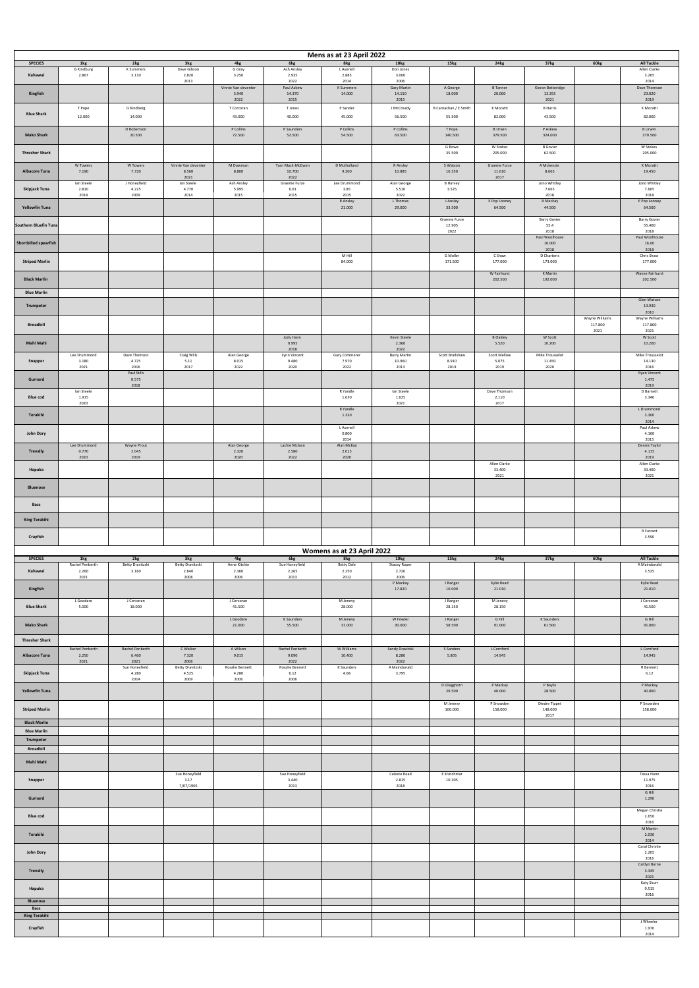|                                           |                                 |                                         |                                          |                              |                                  | Mens as at 23 April 2022          |                                             |                          |                                |                                |                  |                                            |
|-------------------------------------------|---------------------------------|-----------------------------------------|------------------------------------------|------------------------------|----------------------------------|-----------------------------------|---------------------------------------------|--------------------------|--------------------------------|--------------------------------|------------------|--------------------------------------------|
| <b>SPECIES</b><br>Kahawai                 | 1kg<br>G Kindburg<br>2.867      | 2kg<br><b>K</b> Summers<br>3.110        | 3kg<br>Dave Gibson<br>2.820              | 4kg<br>G Gray<br>3.250       | 6kg<br>Ash Ansley<br>2.935       | 8kg<br>L Avenell<br>2.885         | 10 <sub>kg</sub><br>Don Jones<br>3.000      | 15kg                     | 24kg                           | 37kg                           | 60kg             | <b>All Tackle</b><br>Allen Clarke<br>3.265 |
|                                           |                                 |                                         | 2013                                     | Vinnie Van deventer<br>5.940 | 2022<br>Paul Askew<br>14.370     | 2014<br>K Summers<br>14.000       | 2006<br>Gary Martin<br>14.150               | A George<br>18.000       | <b>B</b> Tanner<br>20.000      | Kieran Betteridge<br>13.355    |                  | 2014<br>Dave Thomson<br>23.020             |
| Kingfish                                  | T Pope                          | G Kindberg                              |                                          | 2022<br>T Corcoran           | 2015<br>T Jones                  | P Sander                          | 2015<br>J McCready                          | B Carnachan / E Smith    | K Moratti                      | 2021<br><b>B</b> Harris        |                  | 2019<br>K Moratti                          |
| <b>Blue Shark</b>                         | 12.000                          | 14.000                                  |                                          | 43.000                       | 40.000                           | 45.000                            | 56.500                                      | 55.500                   | 82.000                         | 43.500                         |                  | 82.000                                     |
| <b>Mako Shark</b>                         |                                 | D Robertson<br>20.500                   |                                          | P Collins<br>72.500          | P Saunders<br>52.500             | P Collins<br>54.500               | P Collins<br>63.500                         | T Pope<br>140.500        | <b>B</b> Urwin<br>379.500      | P Askew<br>324.000             |                  | <b>B</b> Urwin<br>379.500                  |
| <b>Thresher Shark</b>                     |                                 |                                         |                                          |                              |                                  |                                   |                                             | G Rowe<br>35.500         | W Stokes<br>205.000            | <b>B</b> Govier<br>62.500      |                  | W Stokes<br>205.000                        |
| <b>Albacore Tuna</b>                      | W Towers<br>7.190               | W Towers<br>7.720                       | Vinnie Van deventer<br>8.560             | M Dowman<br>8.800            | Tarn Mack-McEwen<br>10.700       | D Mulholland<br>9.200             | R Ansley<br>10.885                          | S Watson<br>16.350       | Graeme Furze<br>11.610         | A Mckenzie<br>8.665            |                  | K Moratti<br>19.450                        |
| Skipjack Tuna                             | lan Steele<br>2.810             | J Honeyfield<br>4.225                   | 2021<br>Ian Steele<br>4.770              | Ash Ansley<br>5.995          | 2022<br>Graeme Furze<br>6.01     | Lee Drummond<br>3.85              | Alan George<br>5.510                        | <b>B</b> Harvey<br>3.525 | 2017                           | Jono Whitley<br>7.665          |                  | Jono Whitley<br>7.665                      |
|                                           | 2018                            | 2009                                    | 2014                                     | 2015                         | 2015                             | 2015<br>R Ansley                  | 2022<br>L Thomas                            | J Ansley                 | E Pop Looney                   | 2018<br>A Mackay               |                  | 2018<br>E Pop Looney                       |
| <b>Yellowfin Tuna</b>                     |                                 |                                         |                                          |                              |                                  | 21.000                            | 29.000                                      | 33.500<br>Graeme Furze   | 64.500                         | 44.500<br><b>Barry Govier</b>  |                  | 64.500<br><b>Barry Govier</b>              |
| Southern Bluefin Tuna                     |                                 |                                         |                                          |                              |                                  |                                   |                                             | 12.905<br>2022           |                                | 55.4<br>2018<br>Paul Woolhouse |                  | 55.400<br>2018<br>Paul Woolhouse           |
| <b>Shortbilled spearfish</b>              |                                 |                                         |                                          |                              |                                  |                                   |                                             |                          |                                | 16.000<br>2018                 |                  | 16.00<br>2018                              |
| <b>Striped Marlin</b>                     |                                 |                                         |                                          |                              |                                  | M Hill<br>84.000                  |                                             | G Moller<br>171.500      | C Shaw<br>177.000              | D Charteris<br>173.000         |                  | Chris Shaw<br>177.000                      |
| <b>Black Marlin</b>                       |                                 |                                         |                                          |                              |                                  |                                   |                                             |                          | W Fairhurst<br>202.500         | K Martin<br>192.000            |                  | Wayne Fairhurst<br>202.500                 |
| <b>Blue Marlin</b>                        |                                 |                                         |                                          |                              |                                  |                                   |                                             |                          |                                |                                |                  | Glen Watson                                |
| Trumpeter                                 |                                 |                                         |                                          |                              |                                  |                                   |                                             |                          |                                |                                | Wayne Williams   | 13.930<br>2010<br>Wayne Williams           |
| <b>Broadbill</b>                          |                                 |                                         |                                          |                              |                                  |                                   |                                             |                          |                                |                                | 117.800<br>2021  | 117.800<br>2021                            |
| Mahi Mahi                                 |                                 |                                         |                                          |                              | Jody Hann<br>0.995<br>2018       |                                   | Kevin Steele<br>2.360<br>2022               |                          | <b>B</b> Oakley<br>5.520       | W Scott<br>10.200              |                  | W Scott<br>10.200                          |
| Snapper                                   | Lee Drummond<br>3.180           | Dave Thomson<br>4.725                   | Craig Wills<br>5.11                      | Alan George<br>8.015         | Lynn Vincent<br>9.480            | Gary Commerer<br>7.970            | <b>Barry Martin</b><br>10.960               | Scott Bradshaw<br>8.910  | <b>Scott Mellow</b><br>5.075   | Mike Trousselot<br>11.450      |                  | Mike Trousselot<br>14.130                  |
| Gurnard                                   | 2021                            | 2016<br>Paul Stills<br>0.575            | 2017                                     | 2022                         | 2020                             | 2022                              | 2013                                        | 2019                     | 2019                           | 2020                           |                  | 2016<br><b>Ryan Vincent</b><br>1.475       |
| <b>Blue cod</b>                           | lan Steele<br>1.915             | 2018                                    |                                          |                              |                                  | R Yandle<br>1.630                 | lan Steele<br>1.625                         |                          | Dave Thomson<br>2.110          |                                |                  | 2019<br>D Barnett<br>3.340                 |
| Terakihi                                  | 2020                            |                                         |                                          |                              |                                  | R Yandle<br>1.320                 | 2021                                        |                          | 2017                           |                                |                  | L Drummond<br>3.300                        |
|                                           |                                 |                                         |                                          |                              |                                  | L Avenell                         |                                             |                          |                                |                                |                  | 2014<br>Paul Askew                         |
| John Dory                                 | Lee Drummond                    | Wayne Prout                             |                                          | Alan George                  | Lachie Mclean                    | 0.800<br>2014<br>Alan McKay       |                                             |                          |                                |                                |                  | 4.160<br>2015<br>Dennis Taylor             |
| <b>Trevally</b>                           | 0.770<br>2020                   | 2.045<br>2019                           |                                          | 2.320<br>2020                | 2.580<br>2022                    | 2.015<br>2020                     |                                             |                          |                                |                                |                  | 4.115<br>2019                              |
| Hapuka                                    |                                 |                                         |                                          |                              |                                  |                                   |                                             |                          | Allen Clarke<br>33.400<br>2021 |                                |                  | Allen Clarke<br>33.400<br>2021             |
| <b>Bluenose</b>                           |                                 |                                         |                                          |                              |                                  |                                   |                                             |                          |                                |                                |                  |                                            |
| <b>Bass</b>                               |                                 |                                         |                                          |                              |                                  |                                   |                                             |                          |                                |                                |                  |                                            |
| <b>King Terakihi</b>                      |                                 |                                         |                                          |                              |                                  |                                   |                                             |                          |                                |                                |                  |                                            |
| Crayfish                                  |                                 |                                         |                                          |                              |                                  |                                   |                                             |                          |                                |                                |                  | R Farrant<br>3.590                         |
|                                           |                                 |                                         |                                          |                              |                                  | Womens as at 23 April 2022        |                                             |                          |                                |                                |                  |                                            |
| <b>SPECIES</b><br>Kahawai                 | 1kg<br>Rachel Penberth<br>2.260 | 2kg<br><b>Betty Dravitzski</b><br>3.160 | 3kg<br><b>Betty Dravitzski</b><br>2.840  | 4kg<br>Anne Kitchin<br>2.360 | 6kg<br>Sue Honeyfield<br>2.265   | 8kg<br><b>Betty Dale</b><br>2.250 | <b>10kg</b><br><b>Stacey Roper</b><br>2.720 | 15kg                     | 24 <sub>kg</sub>               | 37kg                           | 60 <sub>kg</sub> | <b>All Tackle</b><br>A Maindonald<br>3.525 |
| Kingfish                                  | 2021                            |                                         | 2008                                     | 2006                         | 2013                             | 2012                              | 2006<br>P Mackay<br>17.820                  | J Ranger<br>10.000       | Kylie Read<br>21.010           |                                |                  | Kylie Read<br>21.010                       |
|                                           | L Goodare                       | J Corcoran                              |                                          | J Corcoran                   |                                  | M Jenevy                          |                                             | J Ranger                 | M Jenevy                       |                                |                  | J Corcoran                                 |
| <b>Blue Shark</b>                         | 5.000                           | 18.000                                  |                                          | 41.500<br>L Goodare          | K Saunders                       | 28.000<br>M Jenevy                | W Fowler                                    | 28.150<br>J Ranger       | 28.150<br>$G$ Hill             | K Saunders                     |                  | 41.500<br>G Hill                           |
| <b>Mako Shark</b>                         |                                 |                                         |                                          | 21.000                       | 55.500                           | 31.000                            | 30.000                                      | 58.500                   | 91.000                         | 61.500                         |                  | 91.000                                     |
| <b>Thresher Shark</b>                     | Rachel Penberth                 | Rachel Penberth                         | C Walker                                 | A Wilson                     | Rachel Penberth                  | W Williams                        | Sandy Dravitski                             | S Sanders                | L Cornford                     |                                |                  | L Cornford                                 |
| <b>Albacore Tuna</b>                      | 2.250<br>2021                   | 6.460<br>2021<br>Sue Honeyfield         | 7.320<br>2006<br><b>Betty Dravitzski</b> | 9.015<br>Rosalie Bennett     | 9.090<br>2022<br>Rosalie Bennett | 10.400<br>K Saunders              | 8.280<br>2022<br>A Maindonald               | 5.805                    | 14.945                         |                                |                  | 14.945<br>R Bennett                        |
| Skipjack Tuna                             |                                 | 4.280<br>2014                           | 4.525<br>2009                            | 4.280<br>2006                | 6.12<br>2006                     | 4.68                              | 3.795                                       |                          |                                |                                |                  | 6.12                                       |
| <b>Yellowfin Tuna</b>                     |                                 |                                         |                                          |                              |                                  |                                   |                                             | D Glegghorn<br>29.500    | P Mackay<br>40.000             | P Baylis<br>28.500             |                  | P Mackay<br>40.000                         |
| <b>Striped Marlin</b>                     |                                 |                                         |                                          |                              |                                  |                                   |                                             | M Jenevy                 | P Snowden                      | Diedre Tippet                  |                  | P Snowden<br>158.000                       |
|                                           |                                 |                                         |                                          |                              |                                  |                                   |                                             | 100.000                  | 158.000                        | 148.000<br>2017                |                  |                                            |
| <b>Black Marlin</b><br><b>Blue Marlin</b> |                                 |                                         |                                          |                              |                                  |                                   |                                             |                          |                                |                                |                  |                                            |
| Trumpeter                                 |                                 |                                         |                                          |                              |                                  |                                   |                                             |                          |                                |                                |                  |                                            |
| <b>Broadbill</b><br>Mahi Mahi             |                                 |                                         |                                          |                              |                                  |                                   |                                             |                          |                                |                                |                  |                                            |
|                                           |                                 |                                         | Sue Honeyfield<br>3.17                   |                              | Sue Honeyfield<br>3.440          |                                   | Celeste Read<br>2.815                       | E Kretchmar<br>10.305    |                                |                                |                  | Tessa Hann                                 |
| Snapper                                   |                                 |                                         | 7/07/1905                                |                              | 2013                             |                                   | 2018                                        |                          |                                |                                |                  | 11.975<br>2016<br>G Hill                   |
| Gurnard                                   |                                 |                                         |                                          |                              |                                  |                                   |                                             |                          |                                |                                |                  | 1.290<br>Megan Christie                    |
| <b>Blue cod</b>                           |                                 |                                         |                                          |                              |                                  |                                   |                                             |                          |                                |                                |                  | 2.650<br>2016                              |
| Terakihi                                  |                                 |                                         |                                          |                              |                                  |                                   |                                             |                          |                                |                                |                  | M Martin<br>2.030<br>2014                  |
| John Dory                                 |                                 |                                         |                                          |                              |                                  |                                   |                                             |                          |                                |                                |                  | Caral Christie<br>2.205<br>2016            |
| <b>Trevally</b>                           |                                 |                                         |                                          |                              |                                  |                                   |                                             |                          |                                |                                |                  | Caitlyn Byrne<br>3.345                     |
| Hapuka                                    |                                 |                                         |                                          |                              |                                  |                                   |                                             |                          |                                |                                |                  | 2021<br>Katy Skurr<br>9.515                |
| <b>Bluenose</b>                           |                                 |                                         |                                          |                              |                                  |                                   |                                             |                          |                                |                                |                  | 2016                                       |
| <b>Bass</b><br><b>King Terakihi</b>       |                                 |                                         |                                          |                              |                                  |                                   |                                             |                          |                                |                                |                  | J Wheeler                                  |